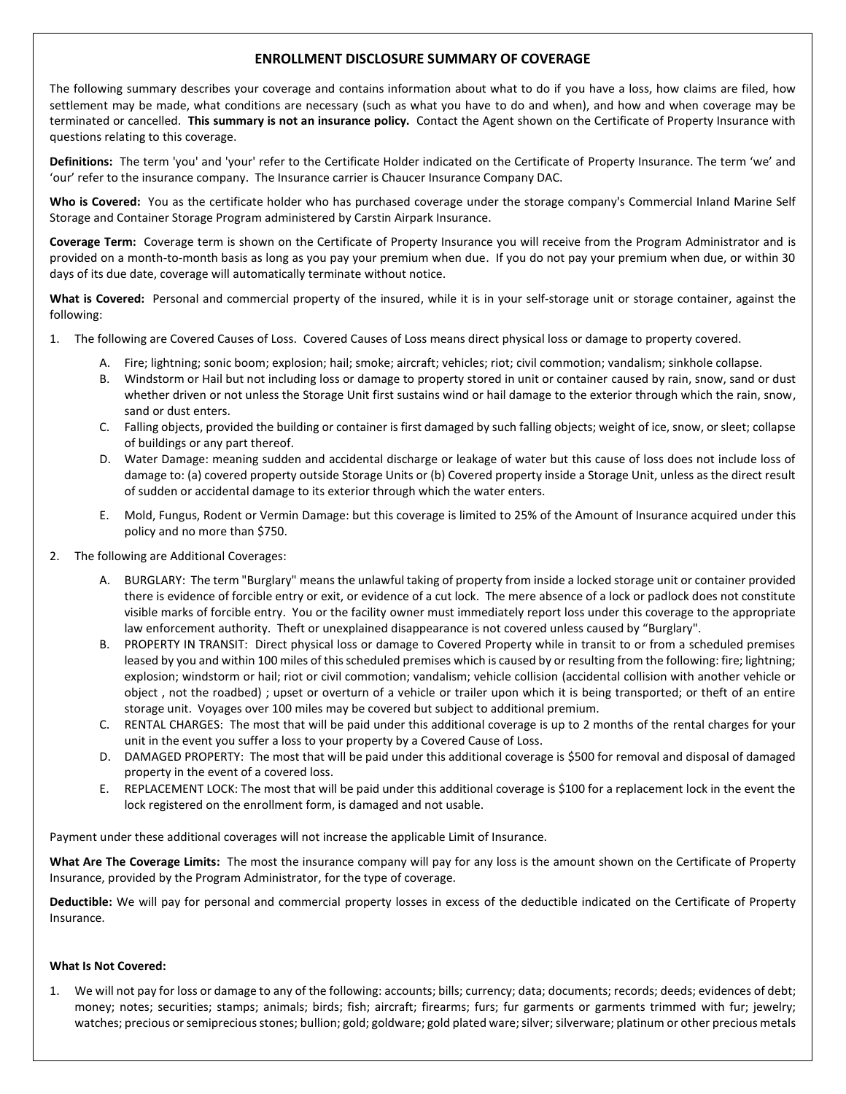# **ENROLLMENT DISCLOSURE SUMMARY OF COVERAGE**

The following summary describes your coverage and contains information about what to do if you have a loss, how claims are filed, how settlement may be made, what conditions are necessary (such as what you have to do and when), and how and when coverage may be terminated or cancelled. **This summary is not an insurance policy.** Contact the Agent shown on the Certificate of Property Insurance with questions relating to this coverage.

**Definitions:** The term 'you' and 'your' refer to the Certificate Holder indicated on the Certificate of Property Insurance. The term 'we' and 'our' refer to the insurance company. The Insurance carrier is Chaucer Insurance Company DAC.

**Who is Covered:** You as the certificate holder who has purchased coverage under the storage company's Commercial Inland Marine Self Storage and Container Storage Program administered by Carstin Airpark Insurance.

**Coverage Term:** Coverage term is shown on the Certificate of Property Insurance you will receive from the Program Administrator and is provided on a month-to-month basis as long as you pay your premium when due. If you do not pay your premium when due, or within 30 days of its due date, coverage will automatically terminate without notice.

**What is Covered:** Personal and commercial property of the insured, while it is in your self-storage unit or storage container, against the following:

- 1. The following are Covered Causes of Loss. Covered Causes of Loss means direct physical loss or damage to property covered.
	- A. Fire; lightning; sonic boom; explosion; hail; smoke; aircraft; vehicles; riot; civil commotion; vandalism; sinkhole collapse.
	- B. Windstorm or Hail but not including loss or damage to property stored in unit or container caused by rain, snow, sand or dust whether driven or not unless the Storage Unit first sustains wind or hail damage to the exterior through which the rain, snow, sand or dust enters.
	- C. Falling objects, provided the building or container is first damaged by such falling objects; weight of ice, snow, or sleet; collapse of buildings or any part thereof.
	- D. Water Damage: meaning sudden and accidental discharge or leakage of water but this cause of loss does not include loss of damage to: (a) covered property outside Storage Units or (b) Covered property inside a Storage Unit, unless as the direct result of sudden or accidental damage to its exterior through which the water enters.
	- E. Mold, Fungus, Rodent or Vermin Damage: but this coverage is limited to 25% of the Amount of Insurance acquired under this policy and no more than \$750.
- 2. The following are Additional Coverages:
	- A. BURGLARY: The term "Burglary" means the unlawful taking of property from inside a locked storage unit or container provided there is evidence of forcible entry or exit, or evidence of a cut lock. The mere absence of a lock or padlock does not constitute visible marks of forcible entry. You or the facility owner must immediately report loss under this coverage to the appropriate law enforcement authority. Theft or unexplained disappearance is not covered unless caused by "Burglary".
	- B. PROPERTY IN TRANSIT: Direct physical loss or damage to Covered Property while in transit to or from a scheduled premises leased by you and within 100 miles of this scheduled premises which is caused by or resulting from the following: fire; lightning; explosion; windstorm or hail; riot or civil commotion; vandalism; vehicle collision (accidental collision with another vehicle or object , not the roadbed) ; upset or overturn of a vehicle or trailer upon which it is being transported; or theft of an entire storage unit. Voyages over 100 miles may be covered but subject to additional premium.
	- C. RENTAL CHARGES: The most that will be paid under this additional coverage is up to 2 months of the rental charges for your unit in the event you suffer a loss to your property by a Covered Cause of Loss.
	- D. DAMAGED PROPERTY: The most that will be paid under this additional coverage is \$500 for removal and disposal of damaged property in the event of a covered loss.
	- E. REPLACEMENT LOCK: The most that will be paid under this additional coverage is \$100 for a replacement lock in the event the lock registered on the enrollment form, is damaged and not usable.

Payment under these additional coverages will not increase the applicable Limit of Insurance.

**What Are The Coverage Limits:** The most the insurance company will pay for any loss is the amount shown on the Certificate of Property Insurance, provided by the Program Administrator, for the type of coverage.

**Deductible:** We will pay for personal and commercial property losses in excess of the deductible indicated on the Certificate of Property Insurance.

### **What Is Not Covered:**

1. We will not pay for loss or damage to any of the following: accounts; bills; currency; data; documents; records; deeds; evidences of debt; money; notes; securities; stamps; animals; birds; fish; aircraft; firearms; furs; fur garments or garments trimmed with fur; jewelry; watches; precious or semiprecious stones; bullion; gold; goldware; gold plated ware; silver; silverware; platinum or other precious metals